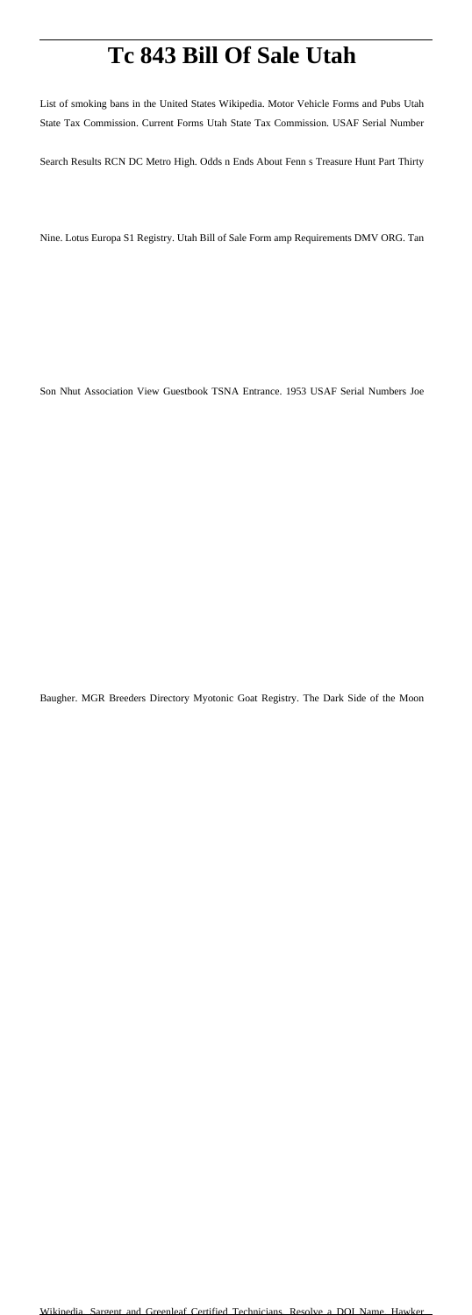## **Tc 843 Bill Of Sale Utah**

List of smoking bans in the United States Wikipedia. Motor Vehicle Forms and Pubs Utah State Tax Commission. Current Forms Utah State Tax Commission. USAF Serial Number

Search Results RCN DC Metro High. Odds n Ends About Fenn s Treasure Hunt Part Thirty

Nine. Lotus Europa S1 Registry. Utah Bill of Sale Form amp Requirements DMV ORG. Tan

Son Nhut Association View Guestbook TSNA Entrance. 1953 USAF Serial Numbers Joe

Baugher. MGR Breeders Directory Myotonic Goat Registry. The Dark Side of the Moon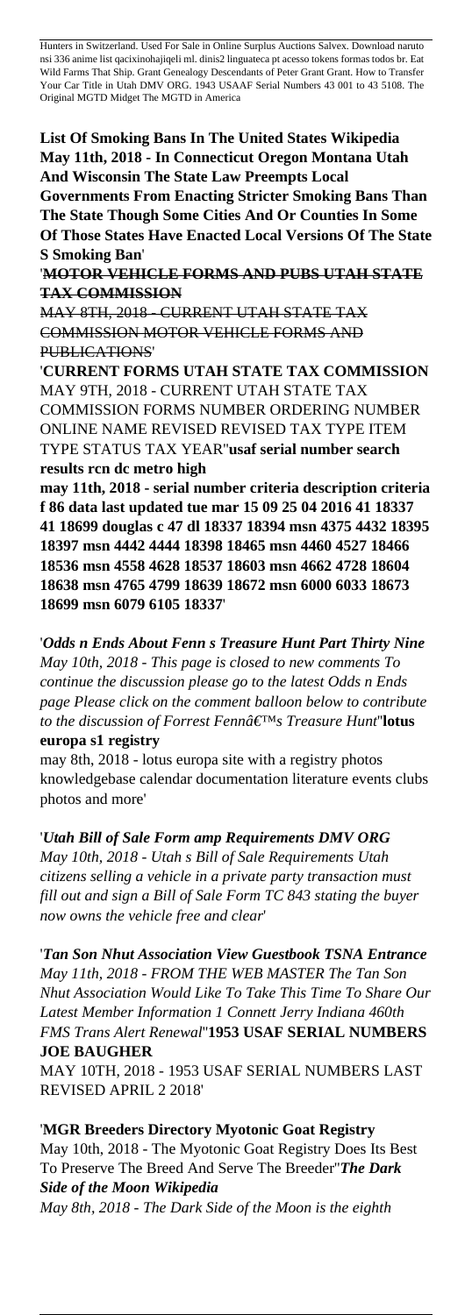Hunters in Switzerland. Used For Sale in Online Surplus Auctions Salvex. Download naruto nsi 336 anime list qacixinohajiqeli ml. dinis2 linguateca pt acesso tokens formas todos br. Eat Wild Farms That Ship. Grant Genealogy Descendants of Peter Grant Grant. How to Transfer Your Car Title in Utah DMV ORG. 1943 USAAF Serial Numbers 43 001 to 43 5108. The Original MGTD Midget The MGTD in America

**List Of Smoking Bans In The United States Wikipedia May 11th, 2018 - In Connecticut Oregon Montana Utah And Wisconsin The State Law Preempts Local**

**Governments From Enacting Stricter Smoking Bans Than The State Though Some Cities And Or Counties In Some Of Those States Have Enacted Local Versions Of The State S Smoking Ban**'

'**MOTOR VEHICLE FORMS AND PUBS UTAH STATE TAX COMMISSION**

MAY 8TH, 2018 - CURRENT UTAH STATE TAX COMMISSION MOTOR VEHICLE FORMS AND PUBLICATIONS'

'**CURRENT FORMS UTAH STATE TAX COMMISSION** MAY 9TH, 2018 - CURRENT UTAH STATE TAX COMMISSION FORMS NUMBER ORDERING NUMBER ONLINE NAME REVISED REVISED TAX TYPE ITEM TYPE STATUS TAX YEAR''**usaf serial number search results rcn dc metro high**

**may 11th, 2018 - serial number criteria description criteria f 86 data last updated tue mar 15 09 25 04 2016 41 18337 41 18699 douglas c 47 dl 18337 18394 msn 4375 4432 18395 18397 msn 4442 4444 18398 18465 msn 4460 4527 18466 18536 msn 4558 4628 18537 18603 msn 4662 4728 18604 18638 msn 4765 4799 18639 18672 msn 6000 6033 18673 18699 msn 6079 6105 18337**'

'*Odds n Ends About Fenn s Treasure Hunt Part Thirty Nine May 10th, 2018 - This page is closed to new comments To continue the discussion please go to the latest Odds n Ends page Please click on the comment balloon below to contribute to the discussion of Forrest Fenn's Treasure Hunt*''**lotus europa s1 registry**

may 8th, 2018 - lotus europa site with a registry photos knowledgebase calendar documentation literature events clubs photos and more'

'*Utah Bill of Sale Form amp Requirements DMV ORG*

*May 10th, 2018 - Utah s Bill of Sale Requirements Utah citizens selling a vehicle in a private party transaction must fill out and sign a Bill of Sale Form TC 843 stating the buyer now owns the vehicle free and clear*'

'*Tan Son Nhut Association View Guestbook TSNA Entrance May 11th, 2018 - FROM THE WEB MASTER The Tan Son Nhut Association Would Like To Take This Time To Share Our Latest Member Information 1 Connett Jerry Indiana 460th FMS Trans Alert Renewal*''**1953 USAF SERIAL NUMBERS JOE BAUGHER**

MAY 10TH, 2018 - 1953 USAF SERIAL NUMBERS LAST REVISED APRIL 2 2018'

'**MGR Breeders Directory Myotonic Goat Registry** May 10th, 2018 - The Myotonic Goat Registry Does Its Best To Preserve The Breed And Serve The Breeder''*The Dark Side of the Moon Wikipedia May 8th, 2018 - The Dark Side of the Moon is the eighth*